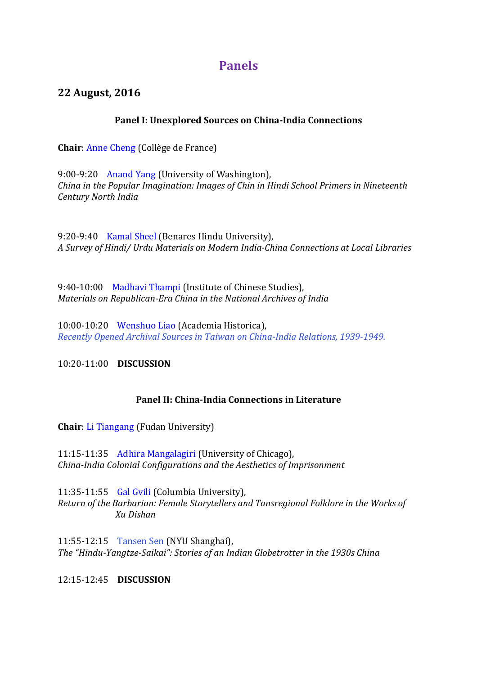# **Panels**

## **22 August, 2016**

### **Panel I: Unexplored Sources on China-India Connections**

**Chair**: [Anne Cheng](https://research.shanghai.nyu.edu/center/cga/events/panel/bios/#anne_cheng) (Collège de France)

9:00-9:20 [Anand Yang](https://research.shanghai.nyu.edu/center/cga/events/panel/bios/#anand_yang) (University of Washington), *[China in the Popular](https://research.shanghai.nyu.edu/cga-document-list/#Anand_Yang) [Imagination: Images of Chin in Hindi School Primers in](https://research.shanghai.nyu.edu/cga-document-list/#Anand_Yang) [Nineteenth](https://research.shanghai.nyu.edu/cga-document-list/#Anand_Yang)  [Century North India](https://research.shanghai.nyu.edu/cga-document-list/#Anand_Yang)*

9:20-9:40 [Kamal Sheel](https://research.shanghai.nyu.edu/center/cga/events/panel/bios/#kamal_sheel) (Benares Hindu University), *[A Survey of Hindi/ Urdu](https://research.shanghai.nyu.edu/cga-document-list/#Kamal_Sheel) [Materials on Modern India-China Connections at Local](https://research.shanghai.nyu.edu/cga-document-list/#Kamal_Sheel) [Libraries](https://research.shanghai.nyu.edu/cga-document-list/#Kamal_Sheel)*

9:40-10:00 [Madhavi Thampi](https://research.shanghai.nyu.edu/center/cga/events/panel/bios/#madhavi_thampi) (Institute of Chinese Studies), *[Materials on](https://research.shanghai.nyu.edu/cga-document-list/#Madhavi_Thampi) [Republican-Era China in the National Archives of India](https://research.shanghai.nyu.edu/cga-document-list/#Madhavi_Thampi)*

10:00-10:20 [Wenshuo Liao](https://research.shanghai.nyu.edu/center/cga/events/panel/bios/#wenshuo_liao) (Academia Historica), *[Recently Opened Archival Sources in Taiwan on China-India Relations, 1939-1949.](https://research.shanghai.nyu.edu/cga-document-list/#Wen_shuo_liao)*

10:20-11:00 **DISCUSSION**

### **Panel II: China-India Connections in Literature**

**Chair**: [Li Tiangang](https://research.shanghai.nyu.edu/center/cga/events/panel/bios/#li_tiangang) (Fudan University)

11:15-11:35 [Adhira Mangalagiri](https://research.shanghai.nyu.edu/center/cga/events/panel/bios/#adhira_mangalagiri) (University of Chicago), *China-India Colonial [Configurations and the Aesthetics of Imprisonment](https://research.shanghai.nyu.edu/cga-document-list/#Adhira_Mangalagiri)*

11:35-11:55 [Gal Gvili](https://research.shanghai.nyu.edu/center/cga/events/panel/bios/#Gal%20Gvili) (Columbia University), *Return of the Barbarian: Female [Storytellers and Tansregional Folklore in the Works of](https://research.shanghai.nyu.edu/cga-document-list/#Gal%20Gvili)  Xu [Dishan](https://research.shanghai.nyu.edu/cga-document-list/#Gal%20Gvili)*

11:55-12:15 [Tansen Sen](https://research.shanghai.nyu.edu/center/cga/events/panel/bios/#tansen_sen) (NYU Shanghai), *The "Hindu-Yangtze-Saikai": Stories of [an Indian Globetrotter in the 1930s China](https://research.shanghai.nyu.edu/cga-document-list/#Tansen%20Sen)*

12:15-12:45 **DISCUSSION**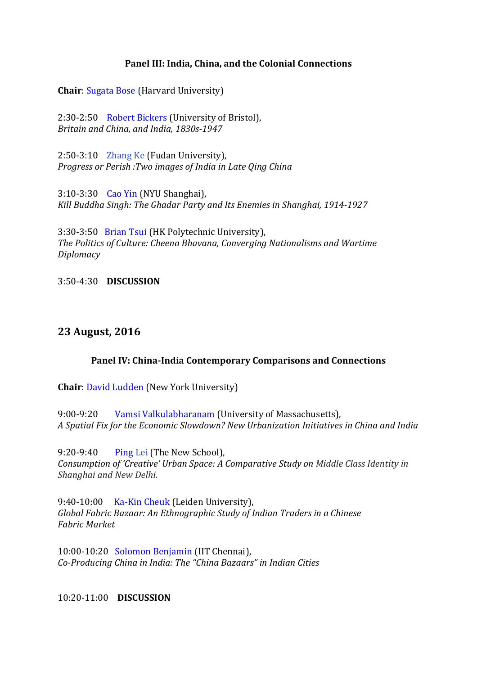#### **Panel III: India, China, and the Colonial Connections**

**Chair**: [Sugata Bose](https://research.shanghai.nyu.edu/center/cga/events/panel/bios/#sugata_bose) (Harvard University)

2:30-2:50 [Robert Bickers](https://research.shanghai.nyu.edu/center/cga/events/panel/bios/#robert_bickers) (University of Bristol), *[Britain and China, and India,](https://research.shanghai.nyu.edu/cga-document-list/#Robert%20Bickers) 1830s-1947*

2:50-3:10 [Zhang Ke](https://research.shanghai.nyu.edu/center/cga/events/panel/bios/#zhang_ke) (Fudan University), *[Progress or Perish :Two images of India in Late Qing China](https://research.shanghai.nyu.edu/cga-document-list/#Zhang%20Ke)*

3:10-3:30 [Cao Yin](https://research.shanghai.nyu.edu/center/cga/events/panel/bios/#cao_yin) (NYU Shanghai), *[Kill Buddha Singh: The Ghadar Party and](https://research.shanghai.nyu.edu/cga-document-list/#Cao_Yin) Its Enemies in Shanghai, 1914-1927*

3:30-3:50 [Brian Tsui](https://research.shanghai.nyu.edu/center/cga/events/panel/bios/#brian_tsui) (HK Polytechnic University), *[The Politics of Culture: Cheena Bhavana, Converging Nationalisms and Wartime](https://research.shanghai.nyu.edu/cga-document-list/#Brian_Tsui)  [Diplomacy](https://research.shanghai.nyu.edu/cga-document-list/#Brian_Tsui)*

3:50-4:30 **DISCUSSION**

### **23 August, 2016**

#### **Panel IV: China-India Contemporary Comparisons and Connections**

**Chair**: [David Ludden](https://research.shanghai.nyu.edu/center/cga/events/panel/bios/#david_ludden) (New York University)

9:00-9:20 [Vamsi Valkulabharanam](https://research.shanghai.nyu.edu/center/cga/events/panel/bios/#Vamsi%20Vakulabharanam) (University of Massachusetts), *[A Spatial](https://research.shanghai.nyu.edu/cga-document-list/#Vamsi) [Fix for the Economic Slowdown? New Urbanization Initiatives](https://research.shanghai.nyu.edu/cga-document-list/#Vamsi) [in China and India](https://research.shanghai.nyu.edu/cga-document-list/#Vamsi)*

9:20-9:40 [Ping](https://research.shanghai.nyu.edu/center/cga/events/panel/bios/#lei_ping) [Lei](https://research.shanghai.nyu.edu/center/cga/events/panel/bios/#lei_ping) (The New School), *[Consumption of 'Creative' Urban Space:](https://research.shanghai.nyu.edu/cga-document-list/#Lei_Ping) A Comparative Study on Middle Class Identity in Shanghai [and New Delhi.](https://research.shanghai.nyu.edu/cga-document-list/#Lei_Ping)*

9:40-10:00 [Ka-Kin Cheuk](https://research.shanghai.nyu.edu/center/cga/events/panel/bios/#ka-kin_cheuk) (Leiden University), *Global Fabric Bazaar: An [Ethnographic Study of Indian Traders in a Chinese](https://research.shanghai.nyu.edu/cga-document-list/#Ka-Kin%20Cheuk)  Fabric [Market](https://research.shanghai.nyu.edu/cga-document-list/#Ka-Kin%20Cheuk)*

10:00-10:20 [Solomon Benjamin](https://research.shanghai.nyu.edu/center/cga/events/panel/bios/#solomon_benjamin) (IIT Chennai), *[Co-Producing China in India: The](https://research.shanghai.nyu.edu/cga-document-list/#Solly_Benjanmin) ["China Bazaars" in Indian Cities](https://research.shanghai.nyu.edu/cga-document-list/#Solly_Benjanmin)*

10:20-11:00 **DISCUSSION**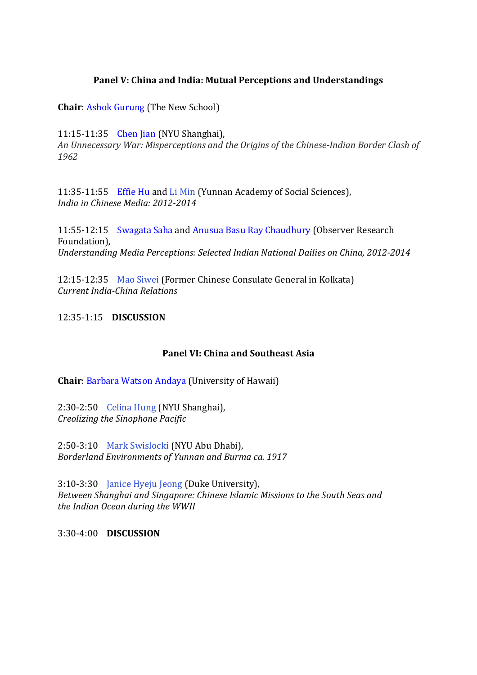#### **Panel V: China and India: Mutual Perceptions and Understandings**

**Chair**: [Ashok Gurung](https://research.shanghai.nyu.edu/center/cga/events/panel/bios/#ashok_gurung) (The New School)

11:15-11:35 [Chen Jian](https://research.shanghai.nyu.edu/center/cga/events/panel/bios/#chen_jian) (NYU Shanghai), *[An Unnecessary War: Misperceptions and](https://research.shanghai.nyu.edu/cga-document-list/#Chen_Jian) [the Origins of the Chinese-Indian Border Clash of](https://research.shanghai.nyu.edu/cga-document-list/#Chen_Jian)  [1962](https://research.shanghai.nyu.edu/cga-document-list/#Chen_Jian)*

11:35-11:55 [Effie Hu](https://research.shanghai.nyu.edu/center/cga/events/panel/bios/#effie_hu) and [Li Min](https://research.shanghai.nyu.edu/center/cga/events/panel/bios/#li_min) (Yunnan Academy of Social Sciences), *[India in Chinese Media: 2012-2014](https://research.shanghai.nyu.edu/cga-document-list/#Liu_Yi)*

11:55-12:15 [Swagata Saha](https://research.shanghai.nyu.edu/center/cga/events/panel/bios/#swagata_saha) and [Anusua Basu Ray Chaudhury](https://research.shanghai.nyu.edu/center/cga/events/panel/bios/#anusua_basu_ray_chaudhury) (Observer Research Foundation), *Understanding Media Perceptions: [Selected Indian National Dailies on China, 2012-2014](https://research.shanghai.nyu.edu/cga-document-list/#Saha_and_BRC)*

12:15-12:35 [Mao Siwei](https://research.shanghai.nyu.edu/center/cga/events/panel/bios/#mao_siwei) (Former Chinese Consulate General in Kolkata) *Current India-China Relations*

12:35-1:15 **DISCUSSION**

#### **Panel VI: China and Southeast Asia**

**Chair**: [Barbara Watson](https://research.shanghai.nyu.edu/center/cga/events/panel/bios/#barbara_watson_andays) Andaya (University of Hawaii)

2:30-2:50 [Celina Hung](https://research.shanghai.nyu.edu/center/cga/events/panel/bios/#celina_hung) (NYU Shanghai), *[Creolizing the Sinophone Pacific](https://research.shanghai.nyu.edu/cga-document-list/#Celina%20Hung)*

2:50-3:10 [Mark Swislocki](https://research.shanghai.nyu.edu/center/cga/events/panel/bios/#mark_swislocki) (NYU Abu Dhabi), *[Borderland Environments of](https://research.shanghai.nyu.edu/cga-document-list/#Mark%20Swislocki) Yunnan and Burma ca. 1917*

3:10-3:30 [Janice Hyeju Jeong](https://research.shanghai.nyu.edu/center/cga/events/panel/bios/#janice_hyeju) (Duke University), *Between Shanghai and [Singapore: Chinese Islamic Missions to the South Seas and](https://research.shanghai.nyu.edu/cga-document-list/#Janice%20Hyeju%20Jeong)  the [Indian Ocean during the WWII](https://research.shanghai.nyu.edu/cga-document-list/#Janice%20Hyeju%20Jeong)*

3:30-4:00 **DISCUSSION**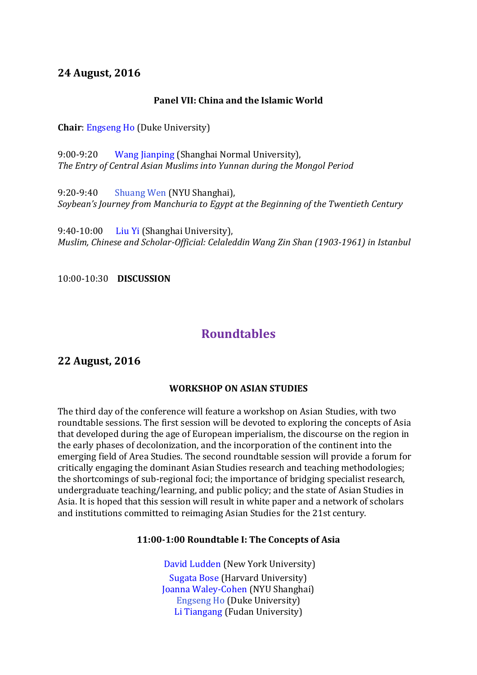### **24 August, 2016**

#### **Panel VII: China and the Islamic World**

**Chair**: [Engseng Ho](https://research.shanghai.nyu.edu/center/cga/events/panel/bios/#engseng_ho) (Duke University)

9:00-9:20 [Wang Jianping](https://research.shanghai.nyu.edu/center/cga/events/panel/bios/#wang_jianping) (Shanghai Normal University), *The Entry of Central [Asian Muslims into Yunnan during the Mongol Period](https://research.shanghai.nyu.edu/cga-document-list/#Wang_jian_ping)*

9:20-9:40 [Shuang Wen](https://research.shanghai.nyu.edu/center/cga/events/panel/bios/#wen_shuang) (NYU Shanghai), *[Soybean's Journey from Manchuria to](https://research.shanghai.nyu.edu/cga-document-list/#Shuang%20Wen) Egypt at the Beginning of the Twentieth Century*

9:40-10:00 [Liu Yi](https://research.shanghai.nyu.edu/center/cga/events/panel/bios/#liu_yi) (Shanghai University), *Muslim, Chinese and Scholar-Official: [Celaleddin Wang Zin Shan \(1903-1961\) in Istanbul](https://research.shanghai.nyu.edu/cga-document-list/#Liu_Yi)*

10:00-10:30 **DISCUSSION**

# **Roundtables**

### **22 August, 2016**

#### **WORKSHOP ON ASIAN STUDIES**

The third day of the conference will feature a workshop on Asian Studies, with two roundtable sessions. The first session will be devoted to exploring the concepts of Asia that developed during the age of European imperialism, the discourse on the region in the early phases of decolonization, and the incorporation of the continent into the emerging field of Area Studies. The second roundtable session will provide a forum for critically engaging the dominant Asian Studies research and teaching methodologies; the shortcomings of sub-regional foci; the importance of bridging specialist research, undergraduate teaching/learning, and public policy; and the state of Asian Studies in Asia. It is hoped that this session will result in white paper and a network of scholars and institutions committed to reimaging Asian Studies for the 21st century.

#### **11:00-1:00 Roundtable I: The Concepts of Asia**

[David Ludden](https://research.shanghai.nyu.edu/center/cga/events/panel/bios/#david_ludden) (New York University) [Sugata Bose](https://research.shanghai.nyu.edu/center/cga/events/panel/bios/#sugata_bose) (Harvard University) [Joanna Waley-Cohen](https://research.shanghai.nyu.edu/center/cga/events/panel/bios/#joanna_weley_cohen) (NYU Shanghai) [Engseng Ho](https://research.shanghai.nyu.edu/center/cga/events/panel/bios/#engseng_ho) (Duke University) [Li Tiangang](https://research.shanghai.nyu.edu/center/cga/events/panel/bios/#li_tiangang) (Fudan University)